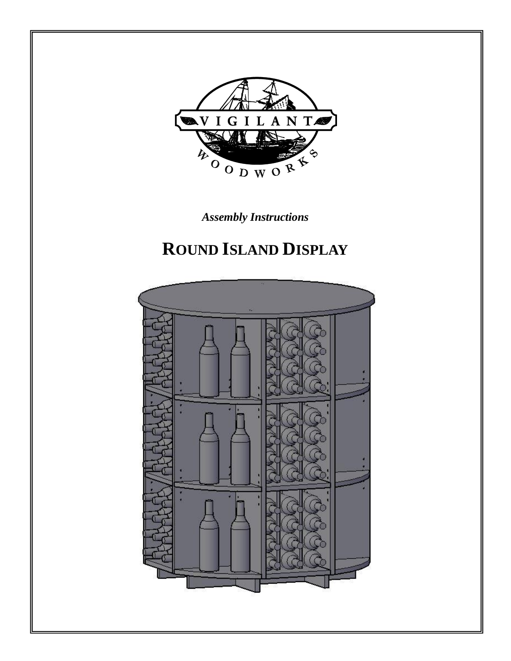

*Assembly Instructions*

# **ROUND ISLAND DISPLAY**

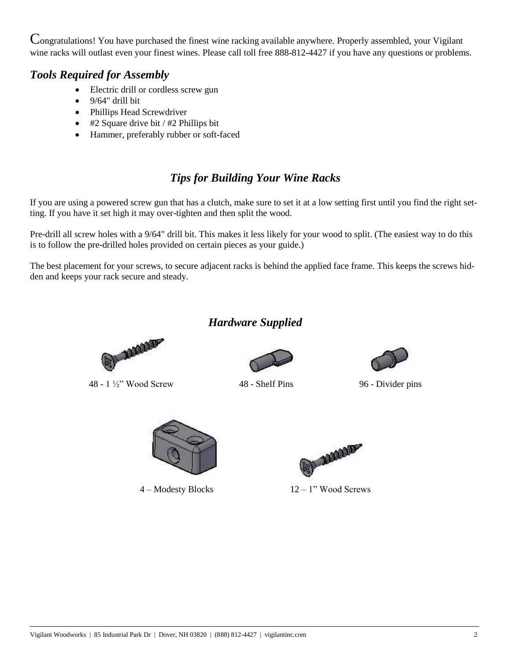Congratulations! You have purchased the finest wine racking available anywhere. Properly assembled, your Vigilant wine racks will outlast even your finest wines. Please call toll free 888-812-4427 if you have any questions or problems.

### *Tools Required for Assembly*

- Electric drill or cordless screw gun
- 9/64" drill bit
- Phillips Head Screwdriver
- $\bullet$  #2 Square drive bit / #2 Phillips bit
- Hammer, preferably rubber or soft-faced

## *Tips for Building Your Wine Racks*

If you are using a powered screw gun that has a clutch, make sure to set it at a low setting first until you find the right setting. If you have it set high it may over-tighten and then split the wood.

Pre-drill all screw holes with a 9/64" drill bit. This makes it less likely for your wood to split. (The easiest way to do this is to follow the pre-drilled holes provided on certain pieces as your guide.)

The best placement for your screws, to secure adjacent racks is behind the applied face frame. This keeps the screws hidden and keeps your rack secure and steady.

## *Hardware Supplied*



48 - 1 ½" Wood Screw 48 - Shelf Pins 96 - Divider pins







(2) **AMAND** 

4 – Modesty Blocks 12 – 1" Wood Screws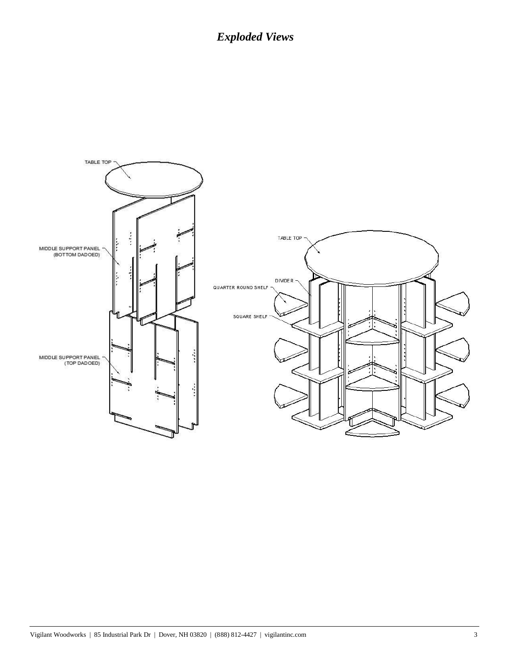## *Exploded Views*

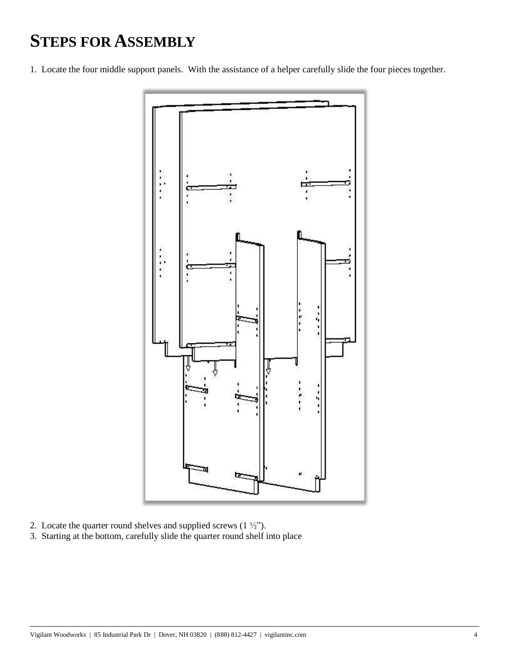## **STEPS FOR ASSEMBLY**

1. Locate the four middle support panels. With the assistance of a helper carefully slide the four pieces together.



- 2. Locate the quarter round shelves and supplied screws  $(1 \frac{1}{2})$ .
- 3. Starting at the bottom, carefully slide the quarter round shelf into place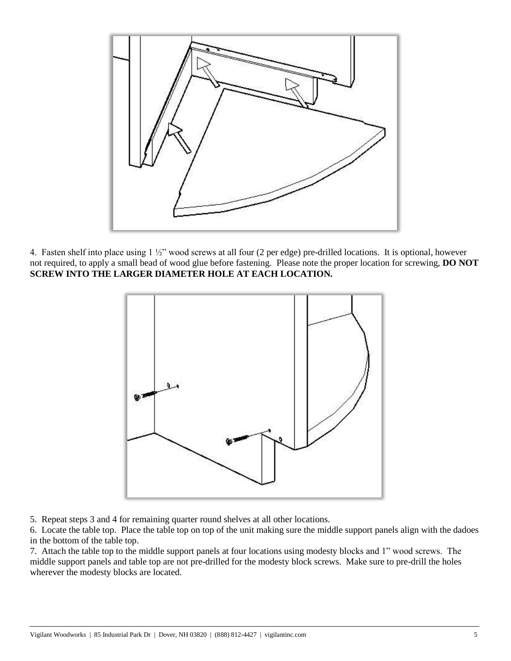

4. Fasten shelf into place using 1 ½" wood screws at all four (2 per edge) pre-drilled locations. It is optional, however not required, to apply a small bead of wood glue before fastening. Please note the proper location for screwing, **DO NOT SCREW INTO THE LARGER DIAMETER HOLE AT EACH LOCATION.**



5. Repeat steps 3 and 4 for remaining quarter round shelves at all other locations.

6. Locate the table top. Place the table top on top of the unit making sure the middle support panels align with the dadoes in the bottom of the table top.

7. Attach the table top to the middle support panels at four locations using modesty blocks and 1" wood screws. The middle support panels and table top are not pre-drilled for the modesty block screws. Make sure to pre-drill the holes wherever the modesty blocks are located.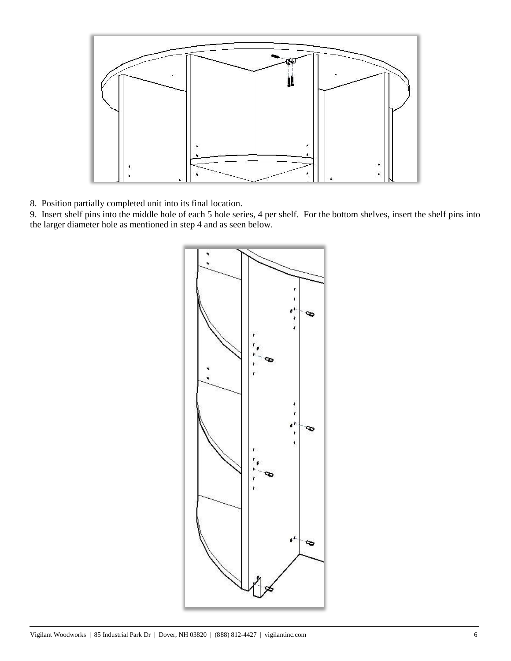

8. Position partially completed unit into its final location.

9. Insert shelf pins into the middle hole of each 5 hole series, 4 per shelf. For the bottom shelves, insert the shelf pins into the larger diameter hole as mentioned in step 4 and as seen below.

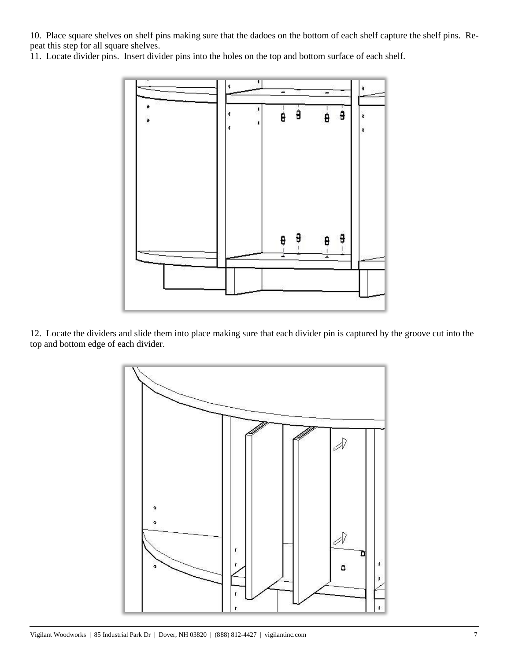10. Place square shelves on shelf pins making sure that the dadoes on the bottom of each shelf capture the shelf pins. Repeat this step for all square shelves.

11. Locate divider pins. Insert divider pins into the holes on the top and bottom surface of each shelf.



12. Locate the dividers and slide them into place making sure that each divider pin is captured by the groove cut into the top and bottom edge of each divider.